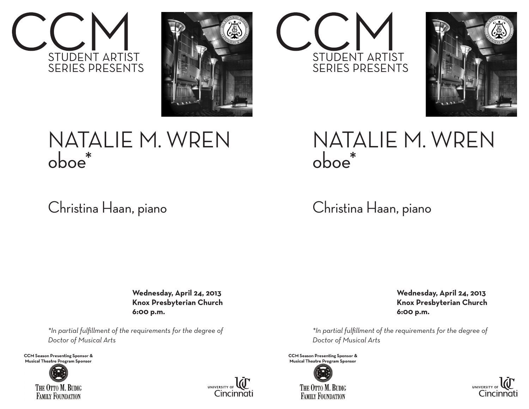



## NATALIE M. WREN oboe\*

## Christina Haan, piano

 **Wednesday, April 24, 2013 Knox Presbyterian Church 6:00 p.m.**

*\*In partial fulfillment of the requirements for the degree of Doctor of Musical Arts*

**CCM Season Presenting Sponsor & Musical Theatre Program Sponsor**